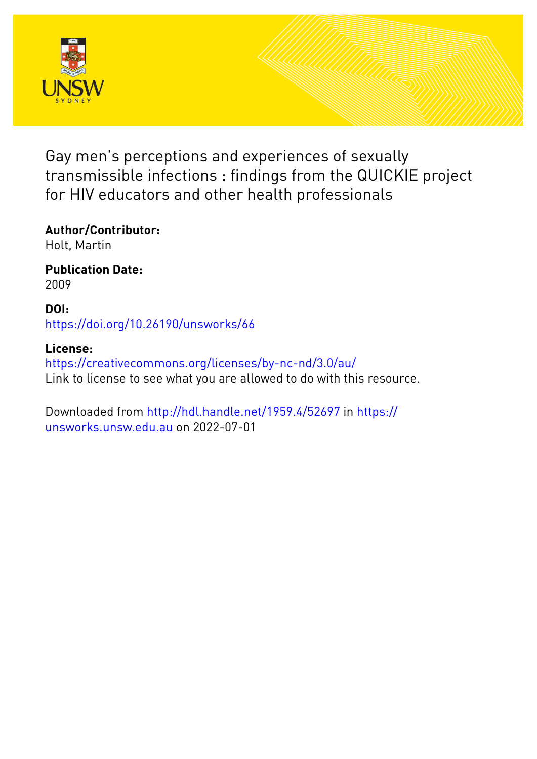

Gay men's perceptions and experiences of sexually transmissible infections : findings from the QUICKIE project for HIV educators and other health professionals

# **Author/Contributor:**

Holt, Martin

## **Publication Date:** 2009

## **DOI:** [https://doi.org/10.26190/unsworks/66](http://dx.doi.org/https://doi.org/10.26190/unsworks/66)

# **License:**

<https://creativecommons.org/licenses/by-nc-nd/3.0/au/> Link to license to see what you are allowed to do with this resource.

Downloaded from <http://hdl.handle.net/1959.4/52697> in [https://](https://unsworks.unsw.edu.au) [unsworks.unsw.edu.au](https://unsworks.unsw.edu.au) on 2022-07-01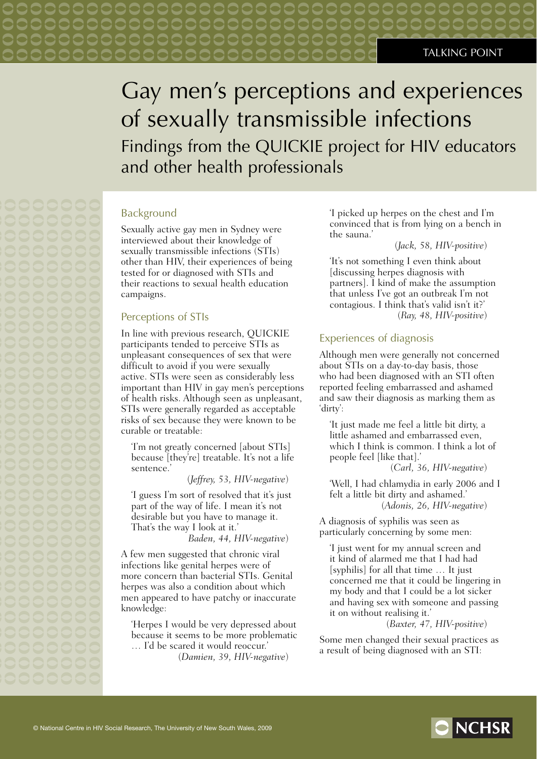# Gay men's perceptions and experiences of sexually transmissible infections Findings from the QUICKIE project for HIV educators and other health professionals

### Background

Sexually active gay men in Sydney were interviewed about their knowledge of sexually transmissible infections (STIs) other than HIV, their experiences of being tested for or diagnosed with STIs and their reactions to sexual health education campaigns.

0000000

### Perceptions of STIs

In line with previous research, QUICKIE participants tended to perceive STIs as unpleasant consequences of sex that were difficult to avoid if you were sexually active. STIs were seen as considerably less important than HIV in gay men's perceptions of health risks. Although seen as unpleasant, STIs were generally regarded as acceptable risks of sex because they were known to be curable or treatable:

'I'm not greatly concerned [about STIs] because [they're] treatable. It's not a life sentence.'

(*Jeffrey, 53, HIV-negative*)

'I guess I'm sort of resolved that it's just part of the way of life. I mean it's not desirable but you have to manage it. That's the way I look at it.'

*Baden, 44, HIV-negative*)

A few men suggested that chronic viral infections like genital herpes were of more concern than bacterial STIs. Genital herpes was also a condition about which men appeared to have patchy or inaccurate knowledge:

'Herpes I would be very depressed about because it seems to be more problematic … I'd be scared it would reoccur.'

(*Damien, 39, HIV-negative*)

'I picked up herpes on the chest and I'm convinced that is from lying on a bench in the sauna.'

### (*Jack, 58, HIV-positive*)

'It's not something I even think about [discussing herpes diagnosis with partners]. I kind of make the assumption that unless I've got an outbreak I'm not contagious. I think that's valid isn't it?' (*Ray, 48, HIV-positive*)

### Experiences of diagnosis

Although men were generally not concerned about STIs on a day-to-day basis, those who had been diagnosed with an STI often reported feeling embarrassed and ashamed and saw their diagnosis as marking them as 'dirty':

'It just made me feel a little bit dirty, a little ashamed and embarrassed even, which I think is common. I think a lot of people feel [like that].'

(*Carl, 36, HIV-negative*)

'Well, I had chlamydia in early 2006 and I felt a little bit dirty and ashamed.' (*Adonis, 26, HIV-negative*)

A diagnosis of syphilis was seen as particularly concerning by some men:

'I just went for my annual screen and it kind of alarmed me that I had had [syphilis] for all that time … It just concerned me that it could be lingering in my body and that I could be a lot sicker and having sex with someone and passing it on without realising it.'

(*Baxter, 47, HIV-positive*)

Some men changed their sexual practices as a result of being diagnosed with an STI: